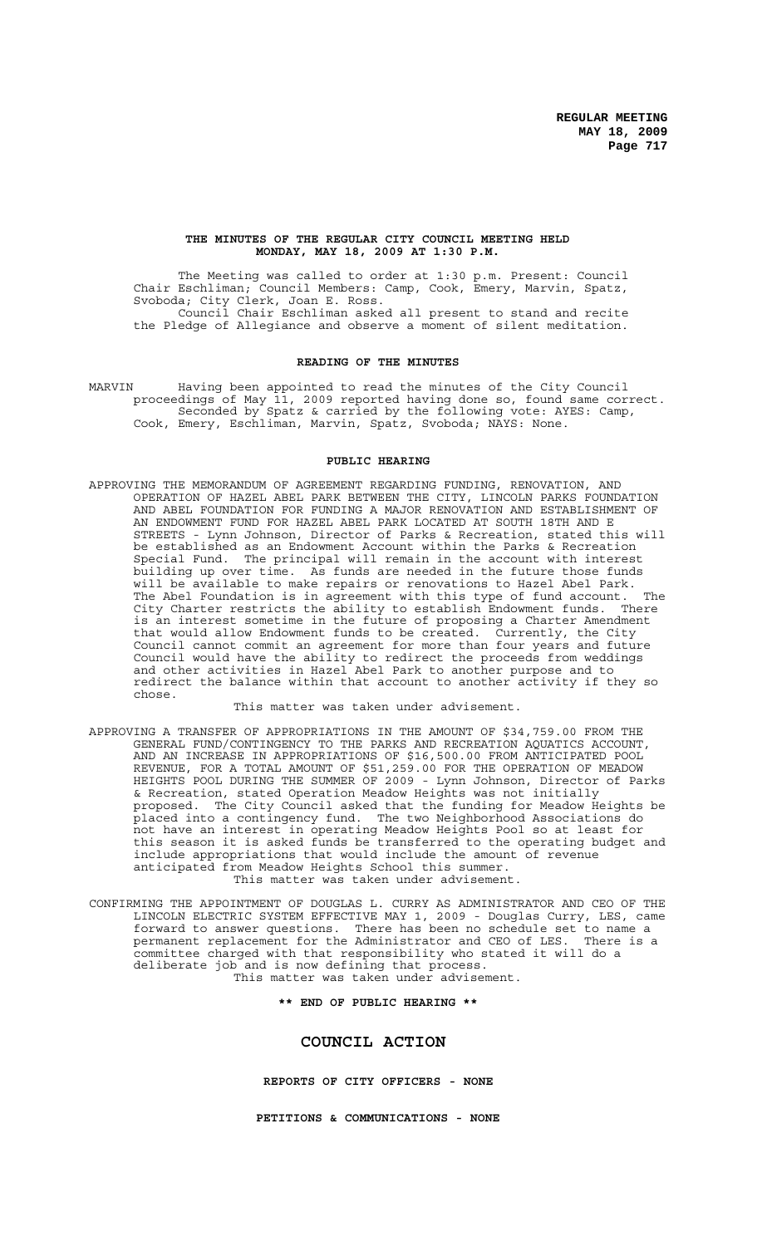### **THE MINUTES OF THE REGULAR CITY COUNCIL MEETING HELD MONDAY, MAY 18, 2009 AT 1:30 P.M.**

The Meeting was called to order at 1:30 p.m. Present: Council Chair Eschliman; Council Members: Camp, Cook, Emery, Marvin, Spatz, Svoboda; City Clerk, Joan E. Ross. Council Chair Eschliman asked all present to stand and recite the Pledge of Allegiance and observe a moment of silent meditation.

### **READING OF THE MINUTES**

MARVIN Having been appointed to read the minutes of the City Council proceedings of May 11, 2009 reported having done so, found same correct. Seconded by Spatz & carried by the following vote: AYES: Camp, Cook, Emery, Eschliman, Marvin, Spatz, Svoboda; NAYS: None.

### **PUBLIC HEARING**

APPROVING THE MEMORANDUM OF AGREEMENT REGARDING FUNDING, RENOVATION, AND OPERATION OF HAZEL ABEL PARK BETWEEN THE CITY, LINCOLN PARKS FOUNDATION AND ABEL FOUNDATION FOR FUNDING A MAJOR RENOVATION AND ESTABLISHMENT OF AN ENDOWMENT FUND FOR HAZEL ABEL PARK LOCATED AT SOUTH 18TH AND E STREETS - Lynn Johnson, Director of Parks & Recreation, stated this will be established as an Endowment Account within the Parks & Recreation Special Fund. The principal will remain in the account with interest building up over time. As funds are needed in the future those funds building up over time. As funds are needed in the first.<br>will be available to make repairs or renovations to Hazel Abel Park.<br>Will be available to make repairs with this type of fund account. The The Abel Foundation is in agreement with this type of fund account. The<br>City Charter restricts the ability to establish Endowment funds. There City Charter restricts the ability to establish Endowment funds. is an interest sometime in the future of proposing a Charter Amendment that would allow Endowment funds to be created. Currently, the City Council cannot commit an agreement for more than four years and future Council would have the ability to redirect the proceeds from weddings and other activities in Hazel Abel Park to another purpose and to redirect the balance within that account to another activity if they so chose.

This matter was taken under advisement.

- APPROVING A TRANSFER OF APPROPRIATIONS IN THE AMOUNT OF \$34,759.00 FROM THE GENERAL FUND/CONTINGENCY TO THE PARKS AND RECREATION AQUATICS ACCOUNT, AND AN INCREASE IN APPROPRIATIONS OF \$16,500.00 FROM ANTICIPATED POOL REVENUE, FOR A TOTAL AMOUNT OF \$51,259.00 FOR THE OPERATION OF MEADOW HEIGHTS POOL DURING THE SUMMER OF 2009 - Lynn Johnson, Director of Parks & Recreation, stated Operation Meadow Heights was not initially The City Council asked that the funding for Meadow Heights be placed into a contingency fund. The two Neighborhood Associations do not have an interest in operating Meadow Heights Pool so at least for this season it is asked funds be transferred to the operating budget and include appropriations that would include the amount of revenue anticipated from Meadow Heights School this summer. This matter was taken under advisement.
- CONFIRMING THE APPOINTMENT OF DOUGLAS L. CURRY AS ADMINISTRATOR AND CEO OF THE LINCOLN ELECTRIC SYSTEM EFFECTIVE MAY 1, 2009 - Douglas Curry, LES, came forward to answer questions. There has been no schedule set to name a permanent replacement for the Administrator and CEO of LES. There is a committee charged with that responsibility who stated it will do a deliberate job and is now defining that process. This matter was taken under advisement.

**\*\* END OF PUBLIC HEARING \*\***

### **COUNCIL ACTION**

**REPORTS OF CITY OFFICERS - NONE**

**PETITIONS & COMMUNICATIONS - NONE**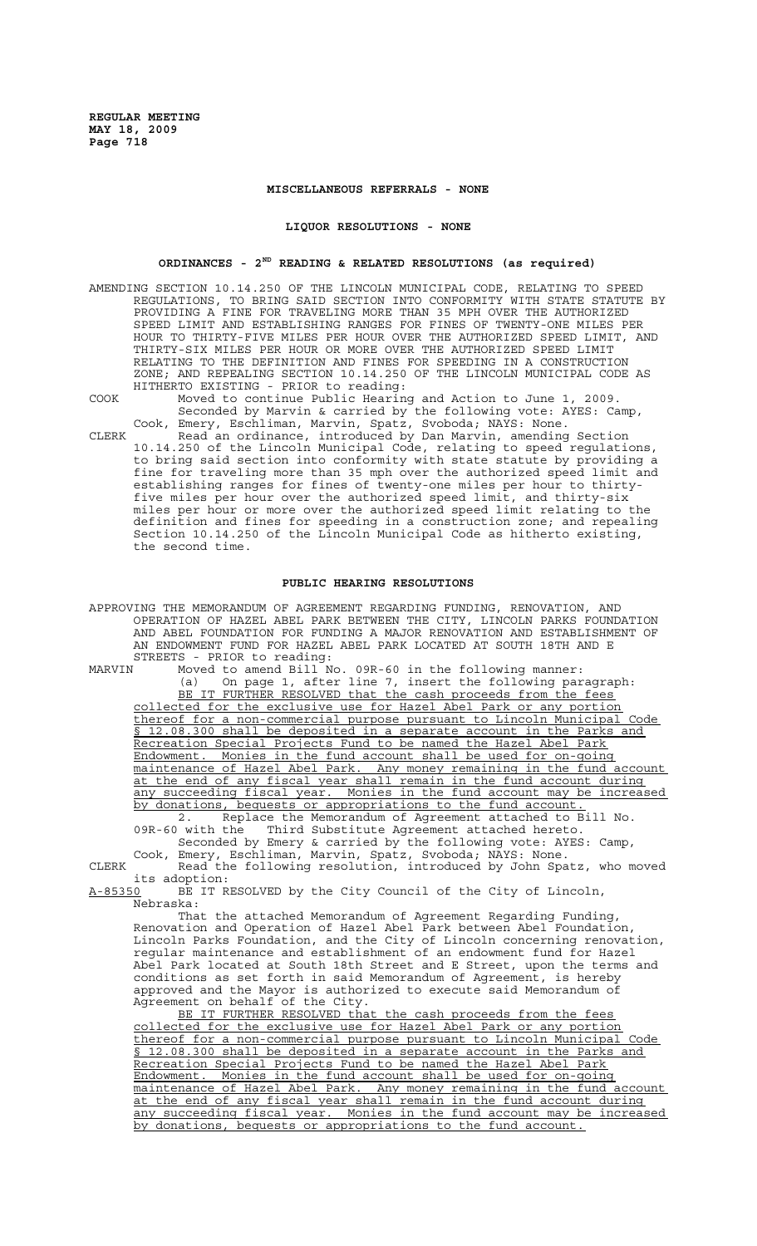### **MISCELLANEOUS REFERRALS - NONE**

#### **LIQUOR RESOLUTIONS - NONE**

# **ORDINANCES - 2ND READING & RELATED RESOLUTIONS (as required)**

- AMENDING SECTION 10.14.250 OF THE LINCOLN MUNICIPAL CODE, RELATING TO SPEED REGULATIONS, TO BRING SAID SECTION INTO CONFORMITY WITH STATE STATUTE BY PROVIDING A FINE FOR TRAVELING MORE THAN 35 MPH OVER THE AUTHORIZED SPEED LIMIT AND ESTABLISHING RANGES FOR FINES OF TWENTY-ONE MILES PER HOUR TO THIRTY-FIVE MILES PER HOUR OVER THE AUTHORIZED SPEED LIMIT, AND THIRTY-SIX MILES PER HOUR OR MORE OVER THE AUTHORIZED SPEED LIMIT RELATING TO THE DEFINITION AND FINES FOR SPEEDING IN A CONSTRUCTION ZONE; AND REPEALING SECTION 10.14.250 OF THE LINCOLN MUNICIPAL CODE AS HITHERTO EXISTING - PRIOR to reading:
- 
- COOK Moved to continue Public Hearing and Action to June 1, 2009. Seconded by Marvin & carried by the following vote: AYES: Camp, Cook, Emery, Eschliman, Marvin, Spatz, Svoboda; NAYS: None.
- CLERK Read an ordinance, introduced by Dan Marvin, amending Section 10.14.250 of the Lincoln Municipal Code, relating to speed regulations, to bring said section into conformity with state statute by providing a fine for traveling more than 35 mph over the authorized speed limit and establishing ranges for fines of twenty-one miles per hour to thirtyfive miles per hour over the authorized speed limit, and thirty-six miles per hour or more over the authorized speed limit relating to the definition and fines for speeding in a construction zone; and repealing Section 10.14.250 of the Lincoln Municipal Code as hitherto existing, the second time.

### **PUBLIC HEARING RESOLUTIONS**

APPROVING THE MEMORANDUM OF AGREEMENT REGARDING FUNDING, RENOVATION, AND OPERATION OF HAZEL ABEL PARK BETWEEN THE CITY, LINCOLN PARKS FOUNDATION AND ABEL FOUNDATION FOR FUNDING A MAJOR RENOVATION AND ESTABLISHMENT OF AN ENDOWMENT FUND FOR HAZEL ABEL PARK LOCATED AT SOUTH 18TH AND E STREETS - PRIOR to reading:

MARVIN Moved to amend Bill No. 09R-60 in the following manner: (a) On page 1, after line 7, insert the following paragraph: BE IT FURTHER RESOLVED that the cash proceeds from the fees collected for the exclusive use for Hazel Abel Park or any portion thereof for a non-commercial purpose pursuant to Lincoln Municipal Code § 12.08.300 shall be deposited in a separate account in the Parks and Recreation Special Projects Fund to be named the Hazel Abel Park<br>Endowment, Monies in the fund account shall be used for on-going Monies in the fund account shall be used for on-going maintenance of Hazel Abel Park. Any money remaining in the fund account at the end of any fiscal year shall remain in the fund account during any succeeding fiscal year. Monies in the fund account may be increased by donations, bequests or appropriations to the fund account. 2. Replace the Memorandum of Agreement attached to Bill No.

09R-60 with the Third Substitute Agreement attached hereto. Seconded by Emery & carried by the following vote: AYES: Camp,

Cook, Emery, Eschliman, Marvin, Spatz, Svoboda; NAYS: None. CLERK Read the following resolution, introduced by John Spatz, who moved

its adoption: BE IT RESOLVED by the City Council of the City of Lincoln, Nebraska:

That the attached Memorandum of Agreement Regarding Funding, Renovation and Operation of Hazel Abel Park between Abel Foundation, Lincoln Parks Foundation, and the City of Lincoln concerning renovation, regular maintenance and establishment of an endowment fund for Hazel Abel Park located at South 18th Street and E Street, upon the terms and conditions as set forth in said Memorandum of Agreement, is hereby approved and the Mayor is authorized to execute said Memorandum of Agreement on behalf of the City.

BE IT FURTHER RESOLVED that the cash proceeds from the fees collected for the exclusive use for Hazel Abel Park or any portion thereof for a non-commercial purpose pursuant to Lincoln Municipal Code § 12.08.300 shall be deposited in a separate account in the Parks and Recreation Special Projects Fund to be named the Hazel Abel Park Endowment. Monies in the fund account shall be used for on-going maintenance of Hazel Abel Park. Any money remaining in the fund account at the end of any fiscal year shall remain in the fund account during any succeeding fiscal year. Monies in the fund account may be increased by donations, bequests or appropriations to the fund account.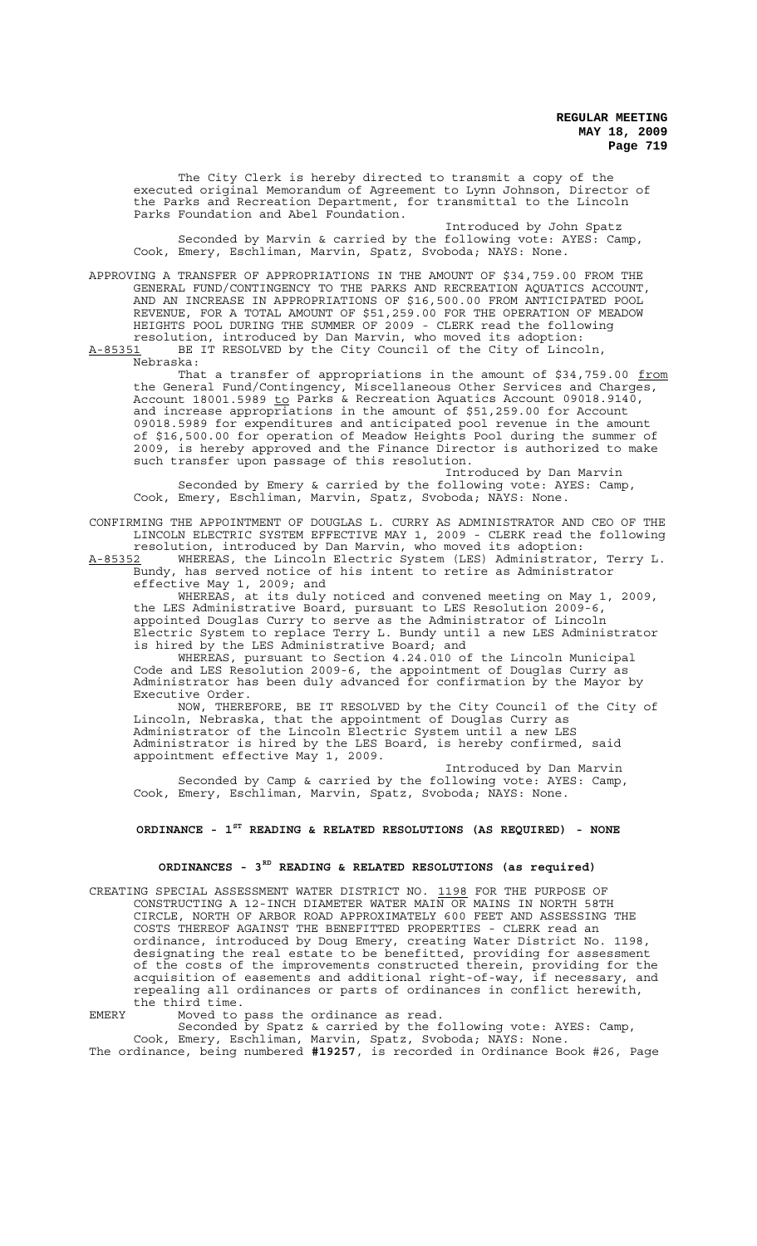The City Clerk is hereby directed to transmit a copy of the executed original Memorandum of Agreement to Lynn Johnson, Director of the Parks and Recreation Department, for transmittal to the Lincoln Parks Foundation and Abel Foundation.

Introduced by John Spatz Seconded by Marvin & carried by the following vote: AYES: Camp, Cook, Emery, Eschliman, Marvin, Spatz, Svoboda; NAYS: None.

APPROVING A TRANSFER OF APPROPRIATIONS IN THE AMOUNT OF \$34,759.00 FROM THE GENERAL FUND/CONTINGENCY TO THE PARKS AND RECREATION AQUATICS ACCOUNT, AND AN INCREASE IN APPROPRIATIONS OF \$16,500.00 FROM ANTICIPATED POOL REVENUE, FOR A TOTAL AMOUNT OF \$51,259.00 FOR THE OPERATION OF MEADOW HEIGHTS POOL DURING THE SUMMER OF 2009 - CLERK read the following resolution, introduced by Dan Marvin, who moved its adoption: A-85351 BE IT RESOLVED by the City Council of the City of Lincoln,

Nebraska:

That a transfer of appropriations in the amount of \$34,759.00 from the General Fund/Contingency, Miscellaneous Other Services and Charges, Account 18001.5989 to Parks & Recreation Aquatics Account 09018.9140, and increase appropriations in the amount of \$51,259.00 for Account 09018.5989 for expenditures and anticipated pool revenue in the amount of \$16,500.00 for operation of Meadow Heights Pool during the summer of 2009, is hereby approved and the Finance Director is authorized to make such transfer upon passage of this resolution.

Introduced by Dan Marvin Seconded by Emery & carried by the following vote: AYES: Camp, Cook, Emery, Eschliman, Marvin, Spatz, Svoboda; NAYS: None.

CONFIRMING THE APPOINTMENT OF DOUGLAS L. CURRY AS ADMINISTRATOR AND CEO OF THE LINCOLN ELECTRIC SYSTEM EFFECTIVE MAY 1, 2009 - CLERK read the following resolution, introduced by Dan Marvin, who moved its adoption:

A-85352 WHEREAS, the Lincoln Electric System (LES) Administrator, Terry L. A-85352 WHEREAS, the Lincoln Electric System (LES) Administrator, T<br>Bundy, has served notice of his intent to retire as Administrator effective May 1, 2009; and

WHEREAS, at its duly noticed and convened meeting on May 1, 2009, the LES Administrative Board, pursuant to LES Resolution 2009-6, appointed Douglas Curry to serve as the Administrator of Lincoln Electric System to replace Terry L. Bundy until a new LES Administrator is hired by the LES Administrative Board; and

WHEREAS, pursuant to Section 4.24.010 of the Lincoln Municipal Code and LES Resolution 2009-6, the appointment of Douglas Curry as Administrator has been duly advanced for confirmation by the Mayor by Executive Order.

NOW, THEREFORE, BE IT RESOLVED by the City Council of the City of Lincoln, Nebraska, that the appointment of Douglas Curry as Administrator of the Lincoln Electric System until a new LES Administrator is hired by the LES Board, is hereby confirmed, said appointment effective May 1, 2009.

Introduced by Dan Marvin Seconded by Camp & carried by the following vote: AYES: Camp, Cook, Emery, Eschliman, Marvin, Spatz, Svoboda; NAYS: None.

### **ORDINANCE - 1ST READING & RELATED RESOLUTIONS (AS REQUIRED) - NONE**

## **ORDINANCES - 3RD READING & RELATED RESOLUTIONS (as required)**

CREATING SPECIAL ASSESSMENT WATER DISTRICT NO. 1198 FOR THE PURPOSE OF CONSTRUCTING A 12-INCH DIAMETER WATER MAIN OR MAINS IN NORTH 58TH CIRCLE, NORTH OF ARBOR ROAD APPROXIMATELY 600 FEET AND ASSESSING THE COSTS THEREOF AGAINST THE BENEFITTED PROPERTIES - CLERK read an ordinance, introduced by Doug Emery, creating Water District No. 1198, designating the real estate to be benefitted, providing for assessment of the costs of the improvements constructed therein, providing for the acquisition of easements and additional right-of-way, if necessary, and repealing all ordinances or parts of ordinances in conflict herewith, the third time.

EMERY Moved to pass the ordinance as read.

Seconded by Spatz & carried by the following vote: AYES: Camp, Cook, Emery, Eschliman, Marvin, Spatz, Svoboda; NAYS: None. The ordinance, being numbered **#19257**, is recorded in Ordinance Book #26, Page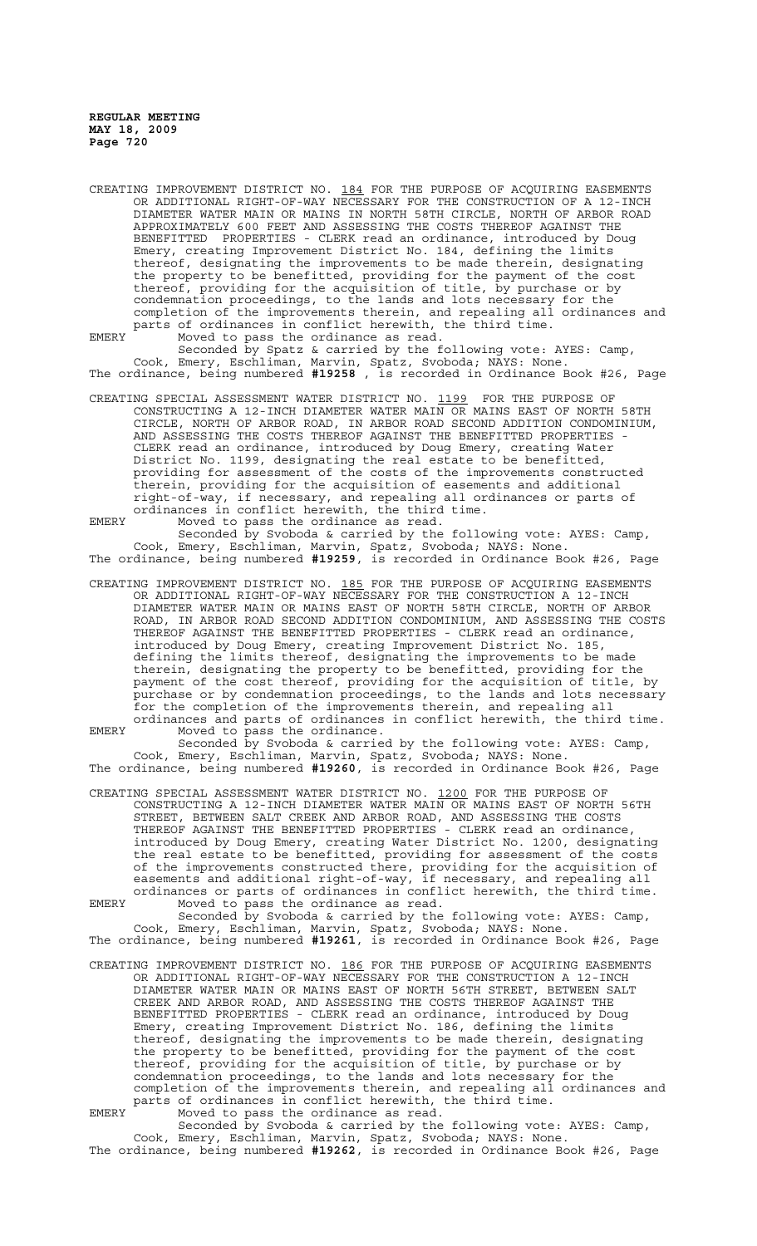CREATING IMPROVEMENT DISTRICT NO. 184 FOR THE PURPOSE OF ACQUIRING EASEMENTS OR ADDITIONAL RIGHT-OF-WAY NECESSARY FOR THE CONSTRUCTION OF A 12-INCH DIAMETER WATER MAIN OR MAINS IN NORTH 58TH CIRCLE, NORTH OF ARBOR ROAD APPROXIMATELY 600 FEET AND ASSESSING THE COSTS THEREOF AGAINST THE BENEFITTED PROPERTIES - CLERK read an ordinance, introduced by Doug Emery, creating Improvement District No. 184, defining the limits thereof, designating the improvements to be made therein, designating the property to be benefitted, providing for the payment of the cost thereof, providing for the acquisition of title, by purchase or by condemnation proceedings, to the lands and lots necessary for the completion of the improvements therein, and repealing all ordinances and parts of ordinances in conflict herewith, the third time.

EMERY Moved to pass the ordinance as read. Seconded by Spatz & carried by the following vote: AYES: Camp, Cook, Emery, Eschliman, Marvin, Spatz, Svoboda; NAYS: None.

The ordinance, being numbered **#19258** , is recorded in Ordinance Book #26, Page

CREATING SPECIAL ASSESSMENT WATER DISTRICT NO. 1199 FOR THE PURPOSE OF CONSTRUCTING A 12-INCH DIAMETER WATER MAIN OR MAINS EAST OF NORTH 58TH CIRCLE, NORTH OF ARBOR ROAD, IN ARBOR ROAD SECOND ADDITION CONDOMINIUM, AND ASSESSING THE COSTS THEREOF AGAINST THE BENEFITTED PROPERTIES CLERK read an ordinance, introduced by Doug Emery, creating Water District No. 1199, designating the real estate to be benefitted, providing for assessment of the costs of the improvements constructed therein, providing for the acquisition of easements and additional right-of-way, if necessary, and repealing all ordinances or parts of ordinances in conflict herewith, the third time.

EMERY Moved to pass the ordinance as read. Seconded by Svoboda & carried by the following vote: AYES: Camp, Cook, Emery, Eschliman, Marvin, Spatz, Svoboda; NAYS: None. The ordinance, being numbered **#19259**, is recorded in Ordinance Book #26, Page

CREATING IMPROVEMENT DISTRICT NO. 185 FOR THE PURPOSE OF ACQUIRING EASEMENTS OR ADDITIONAL RIGHT-OF-WAY NECESSARY FOR THE CONSTRUCTION A 12-INCH DIAMETER WATER MAIN OR MAINS EAST OF NORTH 58TH CIRCLE, NORTH OF ARBOR ROAD, IN ARBOR ROAD SECOND ADDITION CONDOMINIUM, AND ASSESSING THE COSTS THEREOF AGAINST THE BENEFITTED PROPERTIES - CLERK read an ordinance, introduced by Doug Emery, creating Improvement District No. 185, defining the limits thereof, designating the improvements to be made therein, designating the property to be benefitted, providing for the payment of the cost thereof, providing for the acquisition of title, by purchase or by condemnation proceedings, to the lands and lots necessary for the completion of the improvements therein, and repealing all ordinances and parts of ordinances in conflict herewith, the third time. EMERY Moved to pass the ordinance.

Seconded by Svoboda & carried by the following vote: AYES: Camp, Cook, Emery, Eschliman, Marvin, Spatz, Svoboda; NAYS: None. The ordinance, being numbered **#19260**, is recorded in Ordinance Book #26, Page

CREATING SPECIAL ASSESSMENT WATER DISTRICT NO. 1200 FOR THE PURPOSE OF CONSTRUCTING A 12-INCH DIAMETER WATER MAIN OR MAINS EAST OF NORTH 56TH STREET, BETWEEN SALT CREEK AND ARBOR ROAD, AND ASSESSING THE COSTS THEREOF AGAINST THE BENEFITTED PROPERTIES - CLERK read an ordinance, introduced by Doug Emery, creating Water District No. 1200, designating the real estate to be benefitted, providing for assessment of the costs of the improvements constructed there, providing for the acquisition of easements and additional right-of-way, if necessary, and repealing all ordinances or parts of ordinances in conflict herewith, the third time.

EMERY Moved to pass the ordinance as read. Seconded by Svoboda & carried by the following vote: AYES: Camp,

Cook, Emery, Eschliman, Marvin, Spatz, Svoboda; NAYS: None. The ordinance, being numbered **#19261**, is recorded in Ordinance Book #26, Page

CREATING IMPROVEMENT DISTRICT NO. 186 FOR THE PURPOSE OF ACQUIRING EASEMENTS OR ADDITIONAL RIGHT-OF-WAY NECESSARY FOR THE CONSTRUCTION A 12-INCH DIAMETER WATER MAIN OR MAINS EAST OF NORTH 56TH STREET, BETWEEN SALT CREEK AND ARBOR ROAD, AND ASSESSING THE COSTS THEREOF AGAINST THE BENEFITTED PROPERTIES - CLERK read an ordinance, introduced by Doug Emery, creating Improvement District No. 186, defining the limits thereof, designating the improvements to be made therein, designating the property to be benefitted, providing for the payment of the cost thereof, providing for the acquisition of title, by purchase or by condemnation proceedings, to the lands and lots necessary for the completion of the improvements therein, and repealing all ordinances and parts of ordinances in conflict herewith, the third time. EMERY Moved to pass the ordinance as read.

Seconded by Svoboda & carried by the following vote: AYES: Camp, Cook, Emery, Eschliman, Marvin, Spatz, Svoboda; NAYS: None. The ordinance, being numbered **#19262**, is recorded in Ordinance Book #26, Page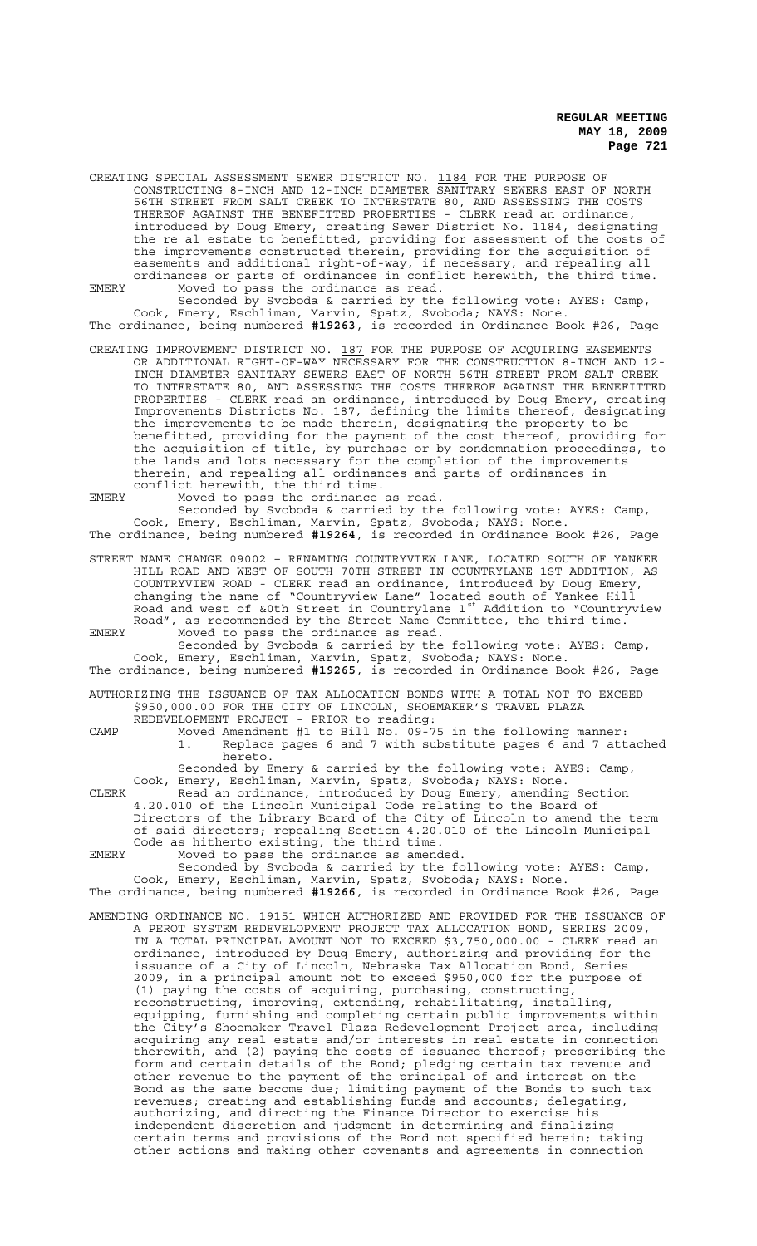CREATING SPECIAL ASSESSMENT SEWER DISTRICT NO. 1184 FOR THE PURPOSE OF CONSTRUCTING 8-INCH AND 12-INCH DIAMETER SANITARY SEWERS EAST OF NORTH 56TH STREET FROM SALT CREEK TO INTERSTATE 80, AND ASSESSING THE COSTS THEREOF AGAINST THE BENEFITTED PROPERTIES - CLERK read an ordinance, introduced by Doug Emery, creating Sewer District No. 1184, designating the re al estate to benefitted, providing for assessment of the costs of the improvements constructed therein, providing for the acquisition of easements and additional right-of-way, if necessary, and repealing all ordinances or parts of ordinances in conflict herewith, the third time. EMERY Moved to pass the ordinance as read.

Seconded by Svoboda & carried by the following vote: AYES: Camp, Cook, Emery, Eschliman, Marvin, Spatz, Svoboda; NAYS: None. The ordinance, being numbered **#19263**, is recorded in Ordinance Book #26, Page

CREATING IMPROVEMENT DISTRICT NO. 187 FOR THE PURPOSE OF ACQUIRING EASEMENTS OR ADDITIONAL RIGHT-OF-WAY NECESSARY FOR THE CONSTRUCTION 8-INCH AND 12- INCH DIAMETER SANITARY SEWERS EAST OF NORTH 56TH STREET FROM SALT CREEK TO INTERSTATE 80, AND ASSESSING THE COSTS THEREOF AGAINST THE BENEFITTED PROPERTIES - CLERK read an ordinance, introduced by Doug Emery, creating Improvements Districts No. 187, defining the limits thereof, designating the improvements to be made therein, designating the property to be benefitted, providing for the payment of the cost thereof, providing for the acquisition of title, by purchase or by condemnation proceedings, to the lands and lots necessary for the completion of the improvements therein, and repealing all ordinances and parts of ordinances in conflict herewith, the third time.

EMERY Moved to pass the ordinance as read.

Seconded by Svoboda & carried by the following vote: AYES: Camp, Cook, Emery, Eschliman, Marvin, Spatz, Svoboda; NAYS: None.

The ordinance, being numbered **#19264**, is recorded in Ordinance Book #26, Page STREET NAME CHANGE 09002 – RENAMING COUNTRYVIEW LANE, LOCATED SOUTH OF YANKEE

HILL ROAD AND WEST OF SOUTH 70TH STREET IN COUNTRYLANE 1ST ADDITION, AS COUNTRYVIEW ROAD - CLERK read an ordinance, introduced by Doug Emery, changing the name of "Countryview Lane" located south of Yankee Hill Road and west of &0th Street in Countrylane 1st Addition to "Countryview Road", as recommended by the Street Name Committee, the third time. EMERY Moved to pass the ordinance as read.

Seconded by Svoboda & carried by the following vote: AYES: Camp, Cook, Emery, Eschliman, Marvin, Spatz, Svoboda; NAYS: None. The ordinance, being numbered **#19265**, is recorded in Ordinance Book #26, Page

AUTHORIZING THE ISSUANCE OF TAX ALLOCATION BONDS WITH A TOTAL NOT TO EXCEED \$950,000.00 FOR THE CITY OF LINCOLN, SHOEMAKER'S TRAVEL PLAZA REDEVELOPMENT PROJECT - PRIOR to reading:

CAMP Moved Amendment #1 to Bill No. 09-75 in the following manner: 1. Replace pages 6 and 7 with substitute pages 6 and 7 attached hereto.

Seconded by Emery & carried by the following vote: AYES: Camp, Cook, Emery, Eschliman, Marvin, Spatz, Svoboda; NAYS: None.

CLERK Read an ordinance, introduced by Doug Emery, amending Section 4.20.010 of the Lincoln Municipal Code relating to the Board of Directors of the Library Board of the City of Lincoln to amend the term of said directors; repealing Section 4.20.010 of the Lincoln Municipal Code as hitherto existing, the third time. EMERY Moved to pass the ordinance as amended.

Seconded by Svoboda & carried by the following vote: AYES: Camp, Cook, Emery, Eschliman, Marvin, Spatz, Svoboda; NAYS: None. The ordinance, being numbered **#19266**, is recorded in Ordinance Book #26, Page

AMENDING ORDINANCE NO. 19151 WHICH AUTHORIZED AND PROVIDED FOR THE ISSUANCE OF A PEROT SYSTEM REDEVELOPMENT PROJECT TAX ALLOCATION BOND, SERIES 2009, IN A TOTAL PRINCIPAL AMOUNT NOT TO EXCEED \$3,750,000.00 - CLERK read an ordinance, introduced by Doug Emery, authorizing and providing for the issuance of a City of Lincoln, Nebraska Tax Allocation Bond, Series 2009, in a principal amount not to exceed \$950,000 for the purpose of (1) paying the costs of acquiring, purchasing, constructing, reconstructing, improving, extending, rehabilitating, installing, equipping, furnishing and completing certain public improvements within the City's Shoemaker Travel Plaza Redevelopment Project area, including acquiring any real estate and/or interests in real estate in connection therewith, and (2) paying the costs of issuance thereof; prescribing the form and certain details of the Bond; pledging certain tax revenue and other revenue to the payment of the principal of and interest on the Bond as the same become due; limiting payment of the Bonds to such tax revenues; creating and establishing funds and accounts; delegating, authorizing, and directing the Finance Director to exercise his independent discretion and judgment in determining and finalizing certain terms and provisions of the Bond not specified herein; taking other actions and making other covenants and agreements in connection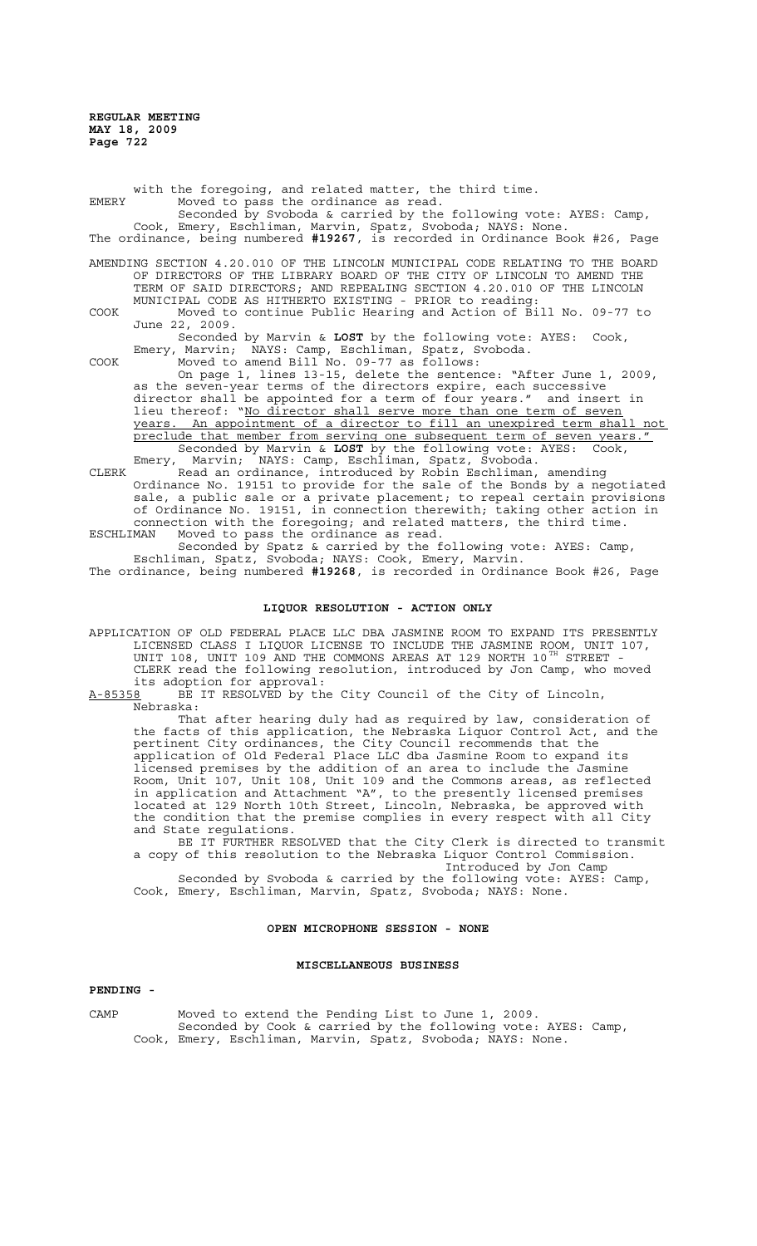with the foregoing, and related matter, the third time. EMERY Moved to pass the ordinance as read. Seconded by Svoboda & carried by the following vote: AYES: Camp, Cook, Emery, Eschliman, Marvin, Spatz, Svoboda; NAYS: None. The ordinance, being numbered **#19267**, is recorded in Ordinance Book #26, Page AMENDING SECTION 4.20.010 OF THE LINCOLN MUNICIPAL CODE RELATING TO THE BOARD OF DIRECTORS OF THE LIBRARY BOARD OF THE CITY OF LINCOLN TO AMEND THE TERM OF SAID DIRECTORS; AND REPEALING SECTION 4.20.010 OF THE LINCOLN MUNICIPAL CODE AS HITHERTO EXISTING - PRIOR to reading: COOK Moved to continue Public Hearing and Action of Bill No. 09-77 to June 22, 2009. Seconded by Marvin & **LOST** by the following vote: AYES: Cook, Emery, Marvin; NAYS: Camp, Eschliman, Spatz, Svoboda. COOK Moved to amend Bill No. 09-77 as follows: On page 1, lines 13-15, delete the sentence: "After June 1, 2009, as the seven-year terms of the directors expire, each successive<br>director shall be appointed for a term of four years." and insert in director shall be appointed for a term of four years." lieu thereof: "No director shall serve more than one term of seven years. An appointment of a director to fill an unexpired term shall not preclude that member from serving one subsequent term of seven years.

Seconded by Marvin & **LOST** by the following vote: AYES: Cook, Emery, Marvin; NAYS: Camp, Eschliman, Spatz, Svoboda. W Marvin & LOST by the 10110Wing .....<br>NAYS: Camp, Eschliman, Spatz, Svoboda.<br>ANYS: Camp, Eschliman, Spatz, Schliman, amending CLERK Read an ordinance, introduced by Robin Eschliman, amending Ordinance No. 19151 to provide for the sale of the Bonds by a negotiated sale, a public sale or a private placement; to repeal certain provisions of Ordinance No. 19151, in connection therewith; taking other action in connection with the foregoing; and related matters, the third time. ESCHLIMAN Moved to pass the ordinance as read.

Seconded by Spatz & carried by the following vote: AYES: Camp, Eschliman, Spatz, Svoboda; NAYS: Cook, Emery, Marvin.

## The ordinance, being numbered **#19268**, is recorded in Ordinance Book #26, Page

### **LIQUOR RESOLUTION - ACTION ONLY**

APPLICATION OF OLD FEDERAL PLACE LLC DBA JASMINE ROOM TO EXPAND ITS PRESENTLY LICENSED CLASS I LIQUOR LICENSE TO INCLUDE THE JASMINE ROOM, UNIT 107, UNIT 108, UNIT 109 AND THE COMMONS AREAS AT 129 NORTH 10 $^{\mathtt{TH}}$  STREET -CLERK read the following resolution, introduced by Jon Camp, who moved its adoption for approval:

A-85358 BE IT RESOLVED by the City Council of the City of Lincoln, <u>A-85358</u> BE<br>Nebraska:

That after hearing duly had as required by law, consideration of the facts of this application, the Nebraska Liquor Control Act, and the pertinent City ordinances, the City Council recommends that the application of Old Federal Place LLC dba Jasmine Room to expand its licensed premises by the addition of an area to include the Jasmine Room, Unit 107, Unit 108, Unit 109 and the Commons areas, as reflected in application and Attachment "A", to the presently licensed premises located at 129 North 10th Street, Lincoln, Nebraska, be approved with the condition that the premise complies in every respect with all City and State regulations.

BE IT FURTHER RESOLVED that the City Clerk is directed to transmit a copy of this resolution to the Nebraska Liquor Control Commission. Introduced by Jon Camp

Seconded by Svoboda & carried by the following vote: AYES: Camp, Cook, Emery, Eschliman, Marvin, Spatz, Svoboda; NAYS: None.

### **OPEN MICROPHONE SESSION - NONE**

### **MISCELLANEOUS BUSINESS**

### **PENDING -**

CAMP Moved to extend the Pending List to June 1, 2009. Seconded by Cook & carried by the following vote: AYES: Camp, Cook, Emery, Eschliman, Marvin, Spatz, Svoboda; NAYS: None.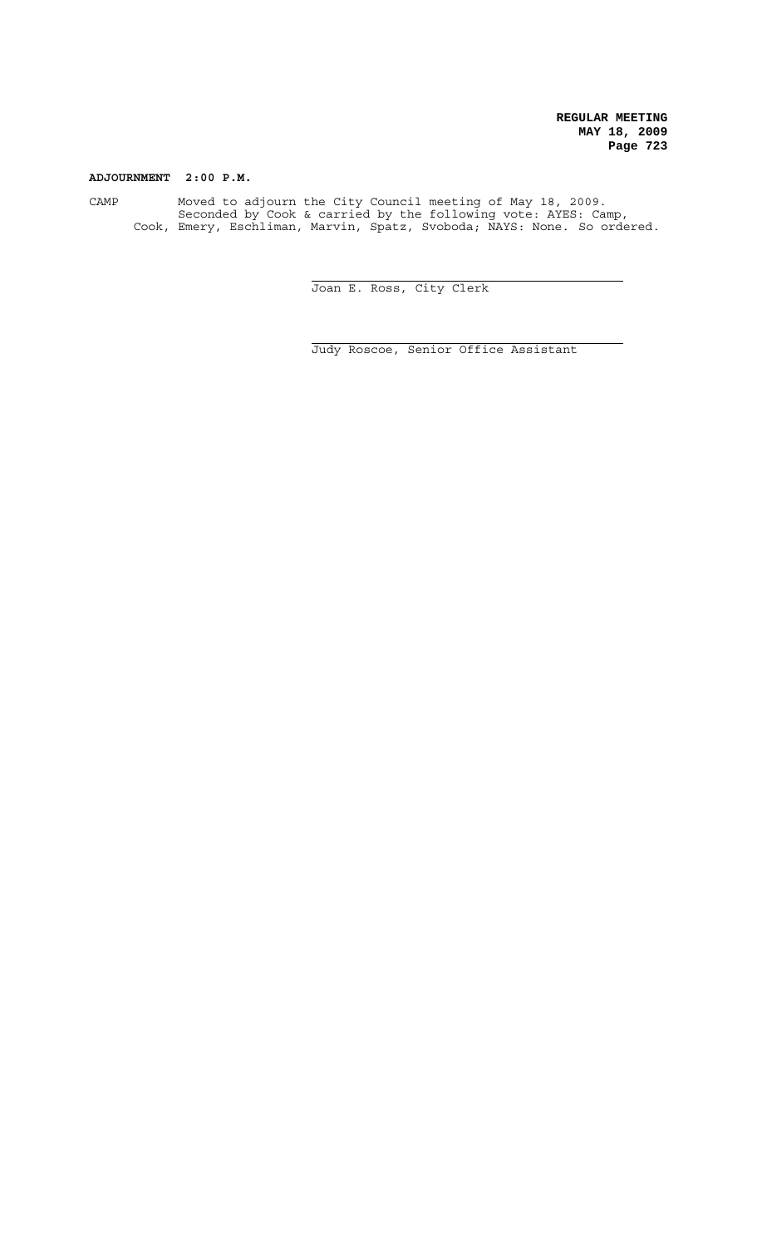# **ADJOURNMENT 2:00 P.M.**

CAMP Moved to adjourn the City Council meeting of May 18, 2009. Seconded by Cook & carried by the following vote: AYES: Camp, Cook, Emery, Eschliman, Marvin, Spatz, Svoboda; NAYS: None. So ordered.

 $\overline{a}$ 

j.

Joan E. Ross, City Clerk

Judy Roscoe, Senior Office Assistant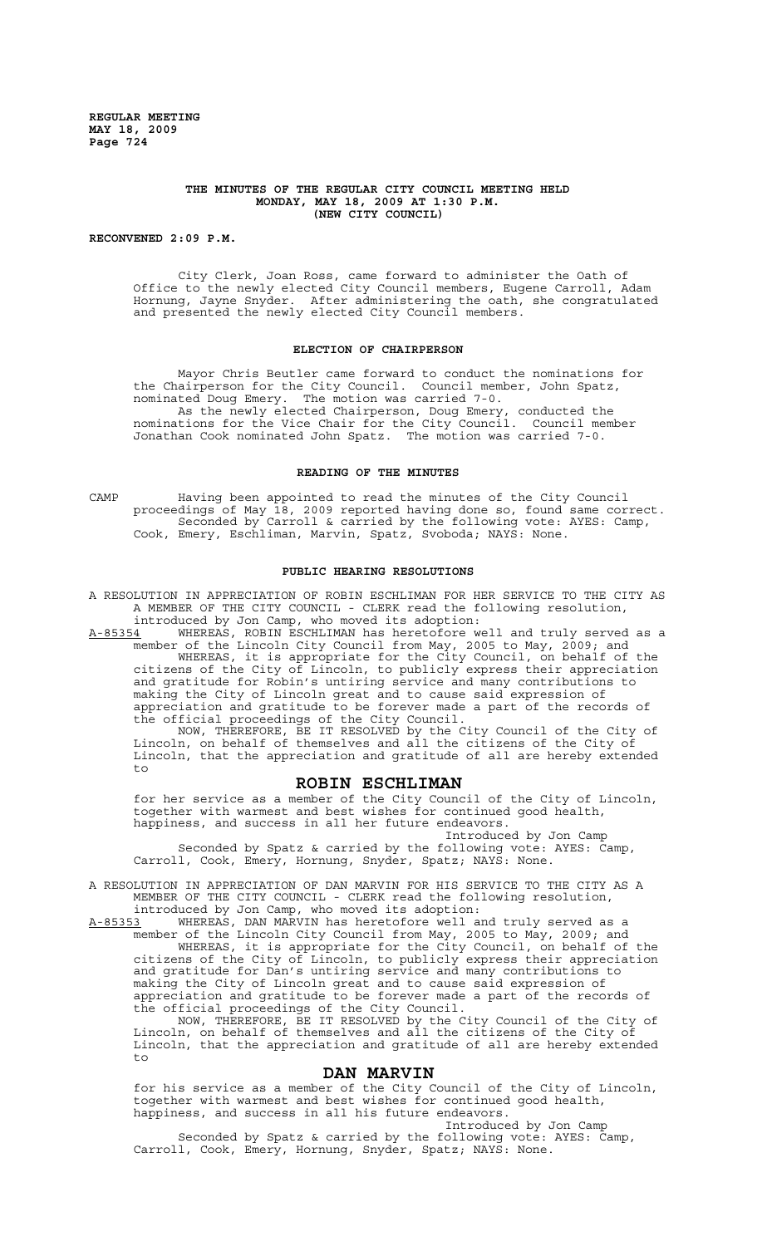### **THE MINUTES OF THE REGULAR CITY COUNCIL MEETING HELD MONDAY, MAY 18, 2009 AT 1:30 P.M. (NEW CITY COUNCIL)**

**RECONVENED 2:09 P.M.**

City Clerk, Joan Ross, came forward to administer the Oath of Office to the newly elected City Council members, Eugene Carroll, Adam Hornung, Jayne Snyder. After administering the oath, she congratulated and presented the newly elected City Council members.

### **ELECTION OF CHAIRPERSON**

Mayor Chris Beutler came forward to conduct the nominations for the Chairperson for the City Council. Council member, John Spatz, nominated Doug Emery. The motion was carried 7-0. As the newly elected Chairperson, Doug Emery, conducted the nominations for the Vice Chair for the City Council. Council member Jonathan Cook nominated John Spatz. The motion was carried 7-0.

### **READING OF THE MINUTES**

CAMP Having been appointed to read the minutes of the City Council proceedings of May 18, 2009 reported having done so, found same correct. Seconded by Carroll & carried by the following vote: AYES: Camp, Cook, Emery, Eschliman, Marvin, Spatz, Svoboda; NAYS: None.

#### **PUBLIC HEARING RESOLUTIONS**

A RESOLUTION IN APPRECIATION OF ROBIN ESCHLIMAN FOR HER SERVICE TO THE CITY AS A MEMBER OF THE CITY COUNCIL - CLERK read the following resolution, introduced by Jon Camp, who moved its adoption:

A-85354 MHEREAS, ROBIN ESCHLIMAN has heretofore well and truly served as a member of the Lincoln City Council from May, 2005 to May, 2009; and WHEREAS, it is appropriate for the City Council, on behalf of the

citizens of the City of Lincoln, to publicly express their appreciation and gratitude for Robin's untiring service and many contributions to making the City of Lincoln great and to cause said expression of appreciation and gratitude to be forever made a part of the records of the official proceedings of the City Council.

NOW, THEREFORE, BE IT RESOLVED by the City Council of the City of Lincoln, on behalf of themselves and all the citizens of the City of Lincoln, that the appreciation and gratitude of all are hereby extended to

# **ROBIN ESCHLIMAN**

for her service as a member of the City Council of the City of Lincoln, together with warmest and best wishes for continued good health, happiness, and success in all her future endeavors.

Introduced by Jon Camp

Seconded by Spatz & carried by the following vote: AYES: Camp, Carroll, Cook, Emery, Hornung, Snyder, Spatz; NAYS: None.

A RESOLUTION IN APPRECIATION OF DAN MARVIN FOR HIS SERVICE TO THE CITY AS A MEMBER OF THE CITY COUNCIL - CLERK read the following resolution,

introduced by Jon Camp, who moved its adoption:<br>A-85353 WHEREAS, DAN MARVIN has heretofore well as A-85353 WHEREAS, DAN MARVIN has heretofore well and truly served as a member of the Lincoln City Council from May, 2005 to May, 2009; and WHEREAS, it is appropriate for the City Council, on behalf of the citizens of the City of Lincoln, to publicly express their appreciation and gratitude for Dan's untiring service and many contributions to making the City of Lincoln great and to cause said expression of appreciation and gratitude to be forever made a part of the records of the official proceedings of the City Council.

NOW, THEREFORE, BE IT RESOLVED by the City Council of the City of Lincoln, on behalf of themselves and all the citizens of the City of Lincoln, that the appreciation and gratitude of all are hereby extended to

# **DAN MARVIN**

for his service as a member of the City Council of the City of Lincoln, together with warmest and best wishes for continued good health, happiness, and success in all his future endeavors.

Introduced by Jon Camp Seconded by Spatz & carried by the following vote: AYES: Camp, Carroll, Cook, Emery, Hornung, Snyder, Spatz; NAYS: None.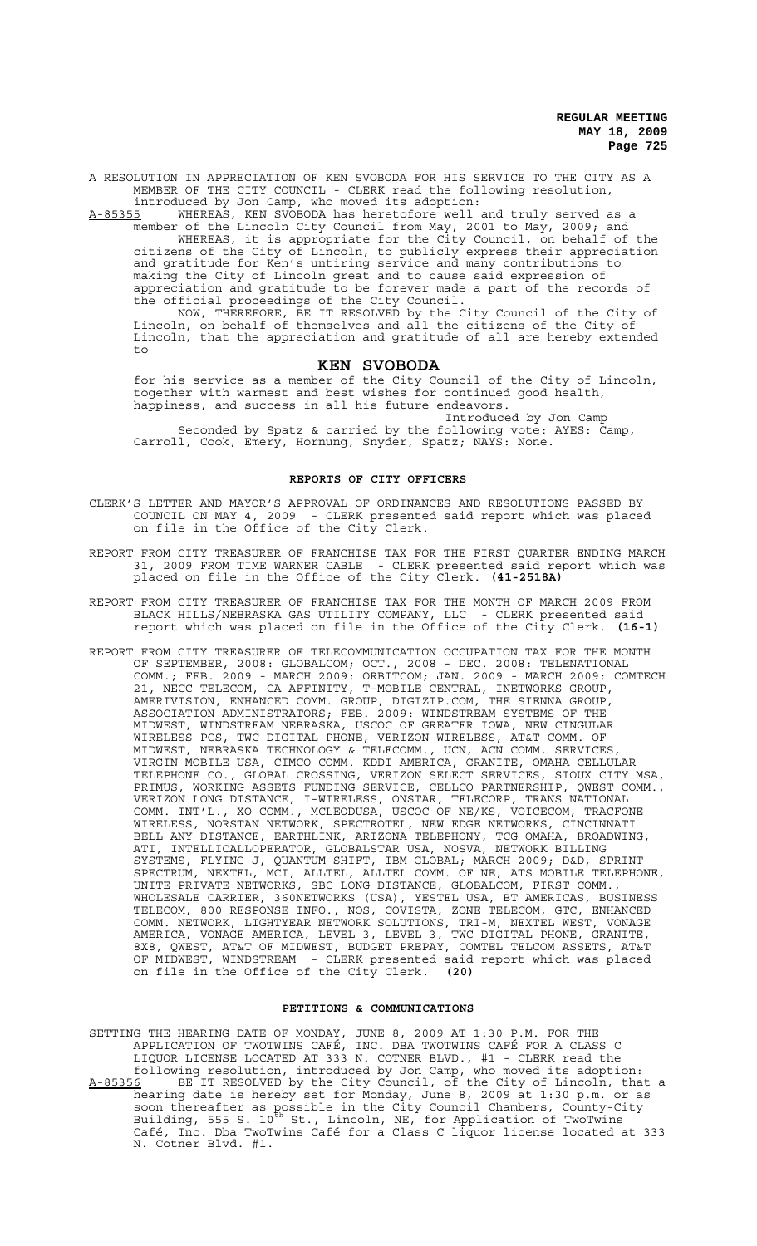A RESOLUTION IN APPRECIATION OF KEN SVOBODA FOR HIS SERVICE TO THE CITY AS A MEMBER OF THE CITY COUNCIL - CLERK read the following resolution, introduced by Jon Camp, who moved its adoption:

A-85355 WHEREAS, KEN SVOBODA has heretofore well and truly served as a member of the Lincoln City Council from May, 2001 to May, 2009; and WHEREAS, it is appropriate for the City Council, on behalf of the citizens of the City of Lincoln, to publicly express their appreciation and gratitude for Ken's untiring service and many contributions to making the City of Lincoln great and to cause said expression of appreciation and gratitude to be forever made a part of the records of the official proceedings of the City Council.

NOW, THEREFORE, BE IT RESOLVED by the City Council of the City of Lincoln, on behalf of themselves and all the citizens of the City of Lincoln, that the appreciation and gratitude of all are hereby extended  $t_{\Omega}$ 

### **KEN SVOBODA**

for his service as a member of the City Council of the City of Lincoln, together with warmest and best wishes for continued good health, happiness, and success in all his future endeavors.

Introduced by Jon Camp Seconded by Spatz & carried by the following vote: AYES: Camp, Carroll, Cook, Emery, Hornung, Snyder, Spatz; NAYS: None.

# **REPORTS OF CITY OFFICERS**

- CLERK'S LETTER AND MAYOR'S APPROVAL OF ORDINANCES AND RESOLUTIONS PASSED BY COUNCIL ON MAY 4, 2009 - CLERK presented said report which was placed on file in the Office of the City Clerk.
- REPORT FROM CITY TREASURER OF FRANCHISE TAX FOR THE FIRST QUARTER ENDING MARCH 31, 2009 FROM TIME WARNER CABLE - CLERK presented said report which was placed on file in the Office of the City Clerk. **(41-2518A)**
- REPORT FROM CITY TREASURER OF FRANCHISE TAX FOR THE MONTH OF MARCH 2009 FROM BLACK HILLS/NEBRASKA GAS UTILITY COMPANY, LLC - CLERK presented said report which was placed on file in the Office of the City Clerk. **(16-1)**
- REPORT FROM CITY TREASURER OF TELECOMMUNICATION OCCUPATION TAX FOR THE MONTH OF SEPTEMBER, 2008: GLOBALCOM; OCT., 2008 - DEC. 2008: TELENATIONAL COMM.; FEB. 2009 - MARCH 2009: ORBITCOM; JAN. 2009 - MARCH 2009: COMTECH 21, NECC TELECOM, CA AFFINITY, T-MOBILE CENTRAL, INETWORKS GROUP, AMERIVISION, ENHANCED COMM. GROUP, DIGIZIP.COM, THE SIENNA GROUP, ASSOCIATION ADMINISTRATORS; FEB. 2009: WINDSTREAM SYSTEMS OF THE MIDWEST, WINDSTREAM NEBRASKA, USCOC OF GREATER IOWA, NEW CINGULAR WIRELESS PCS, TWC DIGITAL PHONE, VERIZON WIRELESS, AT&T COMM. OF MIDWEST, NEBRASKA TECHNOLOGY & TELECOMM., UCN, ACN COMM. SERVICES, VIRGIN MOBILE USA, CIMCO COMM. KDDI AMERICA, GRANITE, OMAHA CELLULAR TELEPHONE CO., GLOBAL CROSSING, VERIZON SELECT SERVICES, SIOUX CITY MSA, PRIMUS, WORKING ASSETS FUNDING SERVICE, CELLCO PARTNERSHIP, QWEST COMM., VERIZON LONG DISTANCE, I-WIRELESS, ONSTAR, TELECORP, TRANS NATIONAL COMM. INT'L., XO COMM., MCLEODUSA, USCOC OF NE/KS, VOICECOM, TRACFONE WIRELESS, NORSTAN NETWORK, SPECTROTEL, NEW EDGE NETWORKS, CINCINNATI BELL ANY DISTANCE, EARTHLINK, ARIZONA TELEPHONY, TCG OMAHA, BROADWING, ATI, INTELLICALLOPERATOR, GLOBALSTAR USA, NOSVA, NETWORK BILLING SYSTEMS, FLYING J, QUANTUM SHIFT, IBM GLOBAL; MARCH 2009; D&D, SPRINT SPECTRUM, NEXTEL, MCI, ALLTEL, ALLTEL COMM. OF NE, ATS MOBILE TELEPHONE, UNITE PRIVATE NETWORKS, SBC LONG DISTANCE, GLOBALCOM, FIRST COMM., WHOLESALE CARRIER, 360NETWORKS (USA), YESTEL USA, BT AMERICAS, BUSINESS TELECOM, 800 RESPONSE INFO., NOS, COVISTA, ZONE TELECOM, GTC, ENHANCED COMM. NETWORK, LIGHTYEAR NETWORK SOLUTIONS, TRI-M, NEXTEL WEST, VONAGE AMERICA, VONAGE AMERICA, LEVEL 3, LEVEL 3, TWC DIGITAL PHONE, GRANITE, 8X8, QWEST, AT&T OF MIDWEST, BUDGET PREPAY, COMTEL TELCOM ASSETS, AT&T OF MIDWEST, WINDSTREAM - CLERK presented said report which was placed on file in the Office of the City Clerk. **(20)**

### **PETITIONS & COMMUNICATIONS**

- SETTING THE HEARING DATE OF MONDAY, JUNE 8, 2009 AT 1:30 P.M. FOR THE APPLICATION OF TWOTWINS CAFÉ, INC. DBA TWOTWINS CAFÉ FOR A CLASS C LIQUOR LICENSE LOCATED AT 333 N. COTNER BLVD., #1 - CLERK read the following resolution, introduced by Jon Camp, who moved its adoption: A-85356 BE IT RESOLVED by the City Council, of the City of Lincoln, that a
- hearing date is hereby set for Monday, June 8, 2009 at 1:30 p.m. or as soon thereafter as possible in the City Council Chambers, County-City Building, 555 S. 10<sup>th</sup> St., Lincoln, NE, for Application of TwoTwins Café, Inc. Dba TwoTwins Café for a Class C liquor license located at 333 N. Cotner Blvd. #1.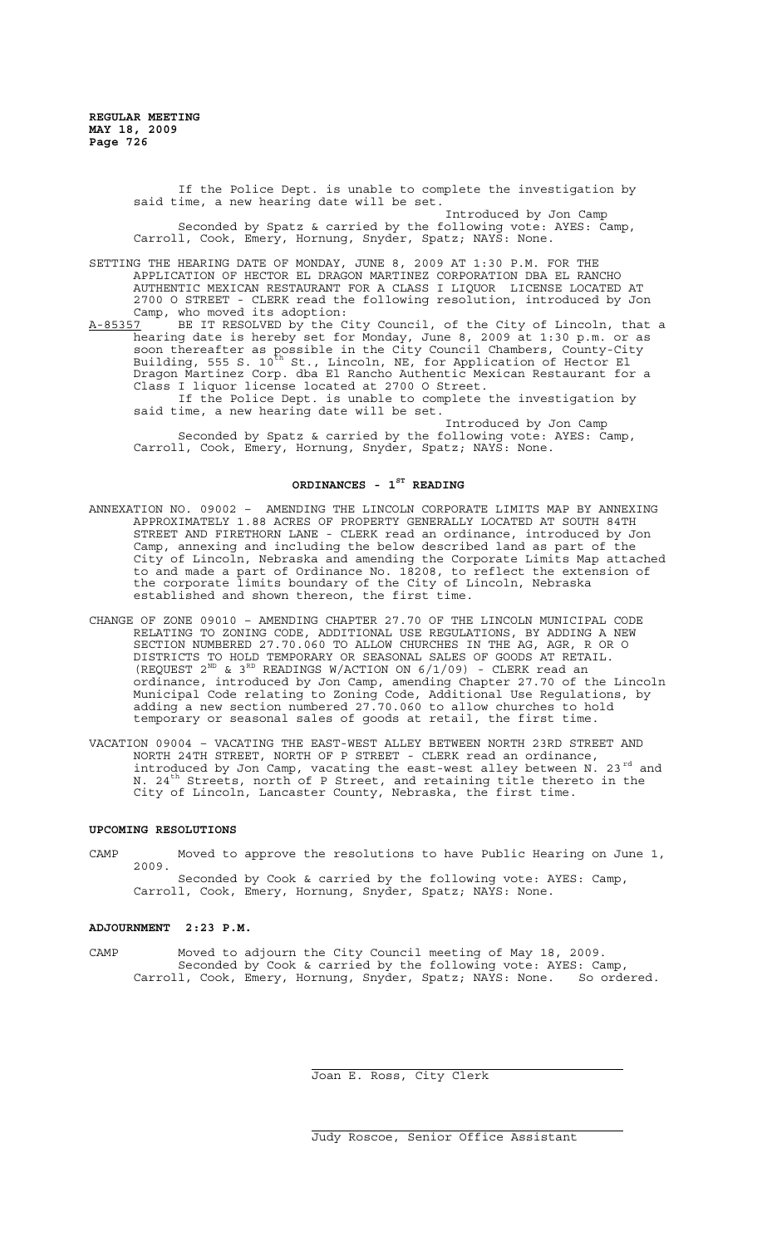> If the Police Dept. is unable to complete the investigation by said time, a new hearing date will be set. Introduced by Jon Camp

> Seconded by Spatz & carried by the following vote: AYES: Camp, Carroll, Cook, Emery, Hornung, Snyder, Spatz; NAYS: None.

SETTING THE HEARING DATE OF MONDAY, JUNE 8, 2009 AT 1:30 P.M. FOR THE APPLICATION OF HECTOR EL DRAGON MARTINEZ CORPORATION DBA EL RANCHO AUTHENTIC MEXICAN RESTAURANT FOR A CLASS I LIQUOR LICENSE LOCATED AT 2700 O STREET - CLERK read the following resolution, introduced by Jon Camp, who moved its adoption:

A-85357 BE IT RESOLVED by the City Council, of the City of Lincoln, that a hearing date is hereby set for Monday, June 8, 2009 at 1:30 p.m. or as soon thereafter as possible in the City Council Chambers, County-City Building, 555 S. 10<sup>th</sup> St., Lincoln, NE, for Application of Hector El<sup>1</sup> Dragon Martinez Corp. dba El Rancho Authentic Mexican Restaurant for a Class I liquor license located at 2700 O Street. If the Police Dept. is unable to complete the investigation by

said time, a new hearing date will be set.

Introduced by Jon Camp Seconded by Spatz & carried by the following vote: AYES: Camp, Carroll, Cook, Emery, Hornung, Snyder, Spatz; NAYS: None.

# **ORDINANCES - 1ST READING**

- ANNEXATION NO. 09002 AMENDING THE LINCOLN CORPORATE LIMITS MAP BY ANNEXING APPROXIMATELY 1.88 ACRES OF PROPERTY GENERALLY LOCATED AT SOUTH 84TH STREET AND FIRETHORN LANE - CLERK read an ordinance, introduced by Jon Camp, annexing and including the below described land as part of the City of Lincoln, Nebraska and amending the Corporate Limits Map attached to and made a part of Ordinance No. 18208, to reflect the extension of the corporate limits boundary of the City of Lincoln, Nebraska established and shown thereon, the first time.
- CHANGE OF ZONE 09010 AMENDING CHAPTER 27.70 OF THE LINCOLN MUNICIPAL CODE RELATING TO ZONING CODE, ADDITIONAL USE REGULATIONS, BY ADDING A NEW SECTION NUMBERED 27.70.060 TO ALLOW CHURCHES IN THE AG, AGR, R OR O DISTRICTS TO HOLD TEMPORARY OR SEASONAL SALES OF GOODS AT RETAIL. (REQUEST  $2^{ND}$  &  $3^{RD}$  READINGS W/ACTION ON  $6/1/09$ ) - CLERK read an ordinance, introduced by Jon Camp, amending Chapter 27.70 of the Lincoln Municipal Code relating to Zoning Code, Additional Use Regulations, by adding a new section numbered 27.70.060 to allow churches to hold temporary or seasonal sales of goods at retail, the first time.
- VACATION 09004 VACATING THE EAST-WEST ALLEY BETWEEN NORTH 23RD STREET AND NORTH 24TH STREET, NORTH OF P STREET - CLERK read an ordinance, introduced by Jon Camp, vacating the east-west alley between  $N$ . 23 $^{rd}$  and N. 24<sup>th</sup> Streets, north of P Street, and retaining title thereto in the City of Lincoln, Lancaster County, Nebraska, the first time.

### **UPCOMING RESOLUTIONS**

CAMP Moved to approve the resolutions to have Public Hearing on June 1, 2009. Seconded by Cook & carried by the following vote: AYES: Camp, Carroll, Cook, Emery, Hornung, Snyder, Spatz; NAYS: None.

### **ADJOURNMENT 2:23 P.M.**

CAMP Moved to adjourn the City Council meeting of May 18, 2009. Seconded by Cook & carried by the following vote: AYES: Camp, Carroll, Cook, Emery, Hornung, Snyder, Spatz; NAYS: None. So ordered.

 $\overline{a}$ 

j.

Joan E. Ross, City Clerk